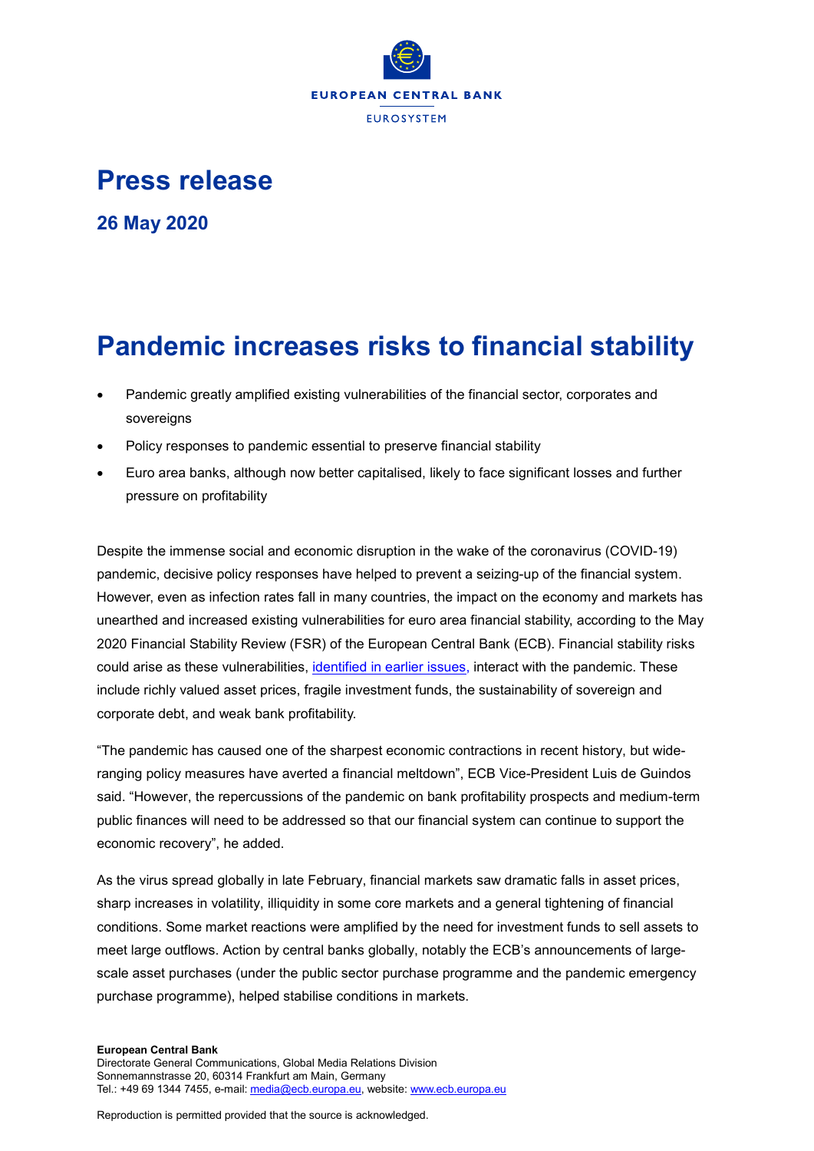

## **Press release**

**26 May 2020**

## **Pandemic increases risks to financial stability**

- Pandemic greatly amplified existing vulnerabilities of the financial sector, corporates and sovereigns
- Policy responses to pandemic essential to preserve financial stability
- Euro area banks, although now better capitalised, likely to face significant losses and further pressure on profitability

Despite the immense social and economic disruption in the wake of the coronavirus (COVID-19) pandemic, decisive policy responses have helped to prevent a seizing-up of the financial system. However, even as infection rates fall in many countries, the impact on the economy and markets has unearthed and increased existing vulnerabilities for euro area financial stability, according to the May 2020 Financial Stability Review (FSR) of the European Central Bank (ECB). Financial stability risks could arise as these vulnerabilities, [identified in earlier issues,](https://www.ecb.europa.eu/pub/financial-stability/fsr/html/ecb.fsr201911%7Efacad0251f.en.html#toc2) interact with the pandemic. These include richly valued asset prices, fragile investment funds, the sustainability of sovereign and corporate debt, and weak bank profitability.

"The pandemic has caused one of the sharpest economic contractions in recent history, but wideranging policy measures have averted a financial meltdown", ECB Vice-President Luis de Guindos said. "However, the repercussions of the pandemic on bank profitability prospects and medium-term public finances will need to be addressed so that our financial system can continue to support the economic recovery", he added.

As the virus spread globally in late February, financial markets saw dramatic falls in asset prices, sharp increases in volatility, illiquidity in some core markets and a general tightening of financial conditions. Some market reactions were amplified by the need for investment funds to sell assets to meet large outflows. Action by central banks globally, notably the ECB's announcements of largescale asset purchases (under the public sector purchase programme and the pandemic emergency purchase programme), helped stabilise conditions in markets.

## **European Central Bank**

Reproduction is permitted provided that the source is acknowledged.

Directorate General Communications, Global Media Relations Division Sonnemannstrasse 20, 60314 Frankfurt am Main, Germany Tel.: +49 69 1344 7455, e-mail[: media@ecb.europa.eu,](mailto:media@ecb.europa.eu) website[: www.ecb.europa.eu](http://www.ecb.europa.eu/)